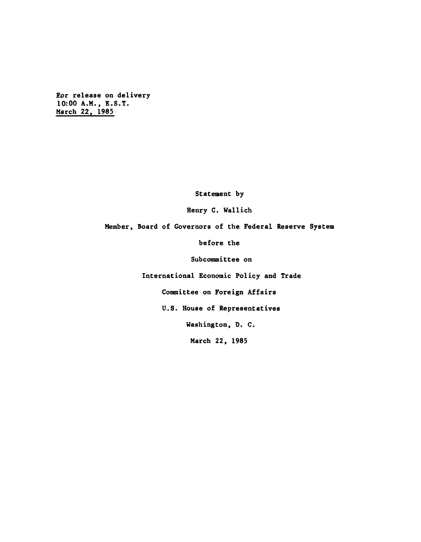**For release on delivery 10:00 A.M., E.S.T. March 22, 1985**

**Statement by**

**Henry C. Wallich**

**Member, Board of Governors of the Federal Reserve System**

**before the**

**Subcommittee on**

**International Economic Policy and Trade**

**Committee on Foreign Affairs**

**U.S. House of Representatives**

**Washington, D. C.**

**March 22, 1985**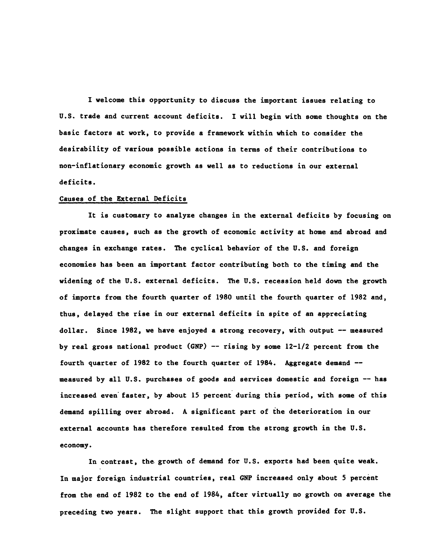**I welcome this opportunity to discuss the important issues relating to U.S. trade and current account deficits. I will begin with some thoughts on the basic factors at work, to provide a framework within which to consider the desirability of various possible actions in terms of their contributions to non-inflationary economic growth as well as to reductions in our external deficits.**

## **Causes of the External Deficits**

**It is customary to analyze changes in the external deficits by focusing on proximate causes, such as the growth of economic activity at home and abroad and changes in exchange rates. The cyclical behavior of the U.S. and foreign economies has been an important factor contributing both to the timing and the widening of the U.S. external deficits. The U.S. recession held down the growth of imports from the fourth quarter of 1980 until the fourth quarter of 1982 and, thus, delayed the rise in our external deficits in spite of an appreciating dollar. Since 1982, we have enjoyed a strong recovery, with output — measured by real gross national product (GNP) — rising by some 12-1/2 percent from the fourth quarter of 1982 to the fourth quarter of 1984. Aggregate demand measured by all U.S. purchases of goods and services domestic and foreign — has increased even faster, by about 15 percent during this period, with some of this demand spilling over abroad. A significant part of the deterioration in our external accounts has therefore resulted from the strong growth in the U.S. economy.**

**In contrast, the growth of demand for U.S. exports had been quite weak. In major foreign industrial countries, real GNP increased only about 5 percent from the end of 1982 to the end of 1984, after virtually no growth on average the preceding two years. The slight support that this growth provided for U.S.**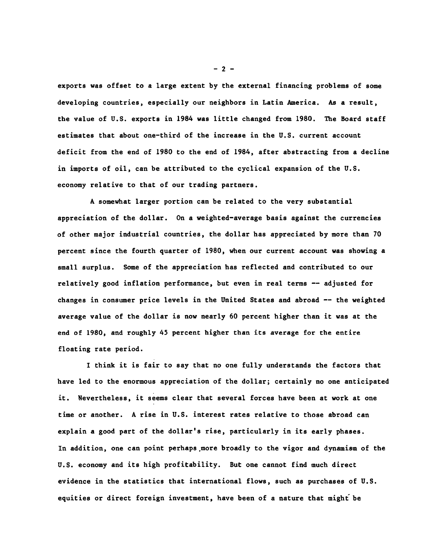**exports was offset to a large extent by the external financing problems of some developing countries, especially our neighbors in Latin America. As a result, the value of U.S. exports in 1984 was little changed from 1980. The Board staff estimates that about one-third of the increase in the U.S. current account deficit from the end of 1980 to the end of 1984, after abstracting from a decline in imports of oil, can be attributed to the cyclical expansion of the U.S. economy relative to that of our trading partners.**

**A somewhat larger portion can be related to the very substantial appreciation of the dollar. On a weighted-average basis against the currencies of other major industrial countries, the dollar has appreciated by more than 70 percent since the fourth quarter of 1980, when our current account was showing a small surplus. Some of the appreciation has reflected and contributed to our relatively good inflation performance, but even in real terms — adjusted for changes in consumer price levels in the United States and abroad — the weighted average value of the dollar is now nearly 60 percent higher than it was at the end of 1980, and roughly 45 percent higher than its average for the entire floating rate period.**

**I think it is fair to say that no one fully understands the factors that have led to the enormous appreciation of the dollar; certainly no one anticipated it. Nevertheless, it seems clear that several forces have been at work at one time or another. A rise in U.S. interest rates relative to those abroad can explain a good part of the dollar's rise, particularly in its early phases. In addition, one can point perhaps .more broadly to the vigor and dynamism of the U.S. economy and its high profitability. But one cannot find much direct evidence in the statistics that international flows, such as purchases of U.S. equities or direct foreign investment, have been of a nature that might be**

**- 2 -**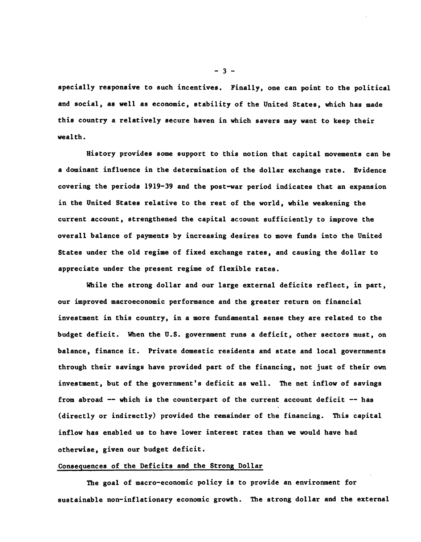**specially responsive to such incentives. Finally, one can point to the political and social, as well as economic, stability of the United States, which has made this country a relatively secure haven in which savers may want to keep their wealth.**

**History provides some support to this notion that capital movements can be a dominant influence in the determination of the dollar exchange rate. Evidence covering the periods 1919-39 and the post-war period indicates that an expansion in the United States relative to the rest of the world, while weakening the current account, strengthened the capital account sufficiently to improve the overall balance of payments by increasing desires to move funds into the United States under the old regime of fixed exchange rates, and causing the dollar to appreciate under the present regime of flexible rates.**

**While the strong dollar and our large external deficits reflect, in part, our improved macroeconomic performance and the greater return on financial investment in this country, in a more fundamental sense they are related to the budget deficit. When the U.S. government runs a deficit, other sectors must, on balance, finance it. Private domestic residents and state and local governments through their savings have provided part of the financing, not just of their own investment, but of the government's deficit as well. The net inflow of savings from abroad — which is the counterpart of the current account deficit — has (directly or indirectly) provided the remainder of the financing. This capital inflow has enabled us to have lower interest rates than we would have had otherwise, given our budget deficit.**

## Consequences of the Deficits and the Strong Dollar

The goal of macro-economic policy is to provide an environment for sustainable non-inflationary economic growth. The strong dollar and the external

 $-3 -$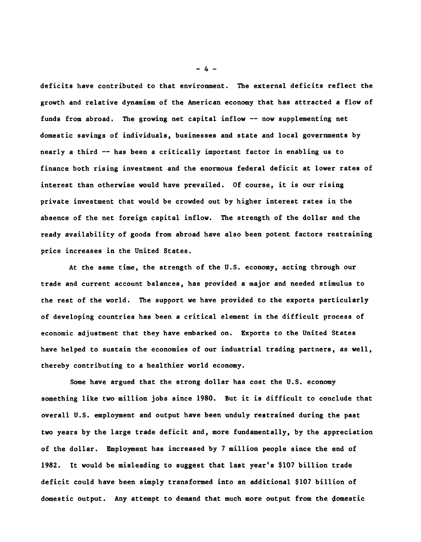**deficits have contributed to that environment. The external deficits reflect the growth and relative dynamism of the American economy that has attracted a flow of funds from abroad. The growing net capital inflow — now supplementing net domestic savings of individuals, businesses and state and local governments by nearly a third — has been a critically important factor in enabling us to finance both rising investment and the enormous federal deficit at lower rates of interest than otherwise would have prevailed. Of course, it is our rising private investment that would be crowded out by higher interest rates in the absence of the net foreign capital inflow. The strength of the dollar and the ready availability of goods from abroad have also been potent factors restraining price increases in the United States.**

**At the same time, the strength of the U.S. economy, acting through our trade and current account balances, has provided a major and needed stimulus to the rest of the world. The support we have provided to the exports particularly of developing countries has been a critical element in the difficult process of economic adjustment that they have embarked on. Exports to the United States have helped to sustain the economies of our industrial trading partners, as well, thereby contributing to a healthier world economy.**

**Some have argued that the strong dollar has cost the U.S. economy something like two million jobs since 1980. But it is difficult to conclude that overall U.S. employment and output have been unduly restrained during the past two years by the large trade deficit and, more fundamentally, by the appreciation of the dollar. Employment has increased by 7 million people since the end of 1982. It would be misleading to suggest that last year's \$107 billion trade deficit could have been simply transformed into an additional \$107 billion of domestic output. Any attempt to demand that much more output from the domestic**

**- 4 -**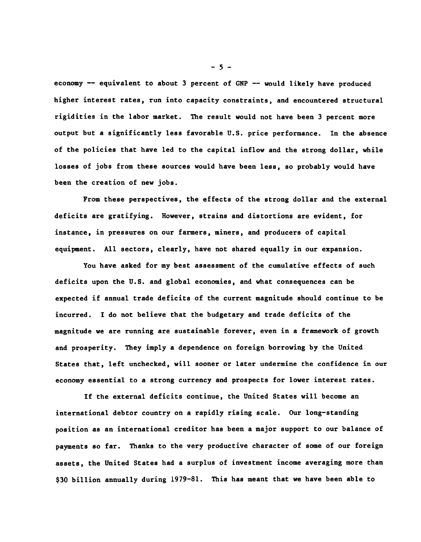**economy — equivalent to about 3 percent of GNP — would likely have produced higher interest rates, run into capacity constraints, and encountered structural rigidities in the labor market. The result would not have been 3 percent more output but a significantly less favorable U.S. price performance. In the absence of the policies that have led to the capital inflow and the strong dollar, while losses of jobs from these sources would have been less, so probably would have been the creation of new jobs.**

**From these perspectives, the effects of the strong dollar and the external deficits are gratifying. However, strains and distortions are evident, for instance, in pressures on our farmers, miners, and producers of capital equipment. All sectors, clearly, have not shared equally in our expansion.**

**You have asked for my best assessment of the cumulative effects of such deficits upon the U.S. and global economies, and what consequences can be expected if annual trade deficits of the current magnitude should continue to be incurred. I do not believe that the budgetary and trade deficits of the magnitude we are running are sustainable forever, even in a framework of growth and prosperity. They imply a dependence on foreign borrowing by the United States that, left unchecked, will sooner or later undermine the confidence in our economy essential to a strong currency and prospects for lower interest rates.**

**If the external deficits continue, the United States will become an international debtor country on a rapidly rising scale. Our long-standing position as an international creditor has been a major support to our balance of payments so far. Thanks to the very productive character of some of our foreign assets, the United States had a surplus of investment income averaging more than \$30 billion annually during 1979-81. This has meant that we have been able to**

**-** 5 **-**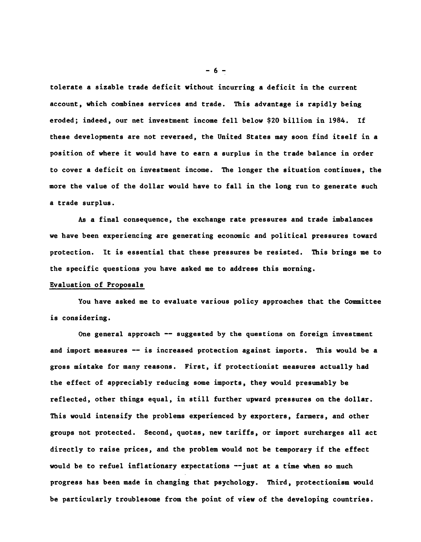**tolerate a sizable trade deficit without incurring a deficit in the current account, which combines services and trade. This advantage is rapidly being eroded; indeed, our net investment income fell below \$20 billion in 1984. If these developments are not reversed, the United States may soon find itself in a position of where it would have to earn a surplus in the trade balance in order to cover a deficit on investment income. The longer the situation continues, the more the value of the dollar would have to fall in the long run to generate such a trade surplus.**

**As a final consequence, the exchange rate pressures and trade imbalances we have been experiencing are generating economic and political pressures toward protection. It is essential that these pressures be resisted. This brings me to** the specific questions you have asked me to address this morning.

## Evaluation of Proposals

**You have asked me to evaluate various policy approaches that the Committee is considering.**

**One general approach — suggested by the questions on foreign investment and import measures — is increased protection against imports. This would be a gross mistake for many reasons. First, if protectionist measures actually had the effect of appreciably reducing some imports, they would presumably be reflected, other things equal, in still further upward pressures on the dollar. This would intensify the problems experienced by exporters, farmers, and other groups not protected. Second, quotas, new tariffs, or import surcharges all act directly to raise prices, and the problem would not be temporary if the effect would be to refuel inflationary expectations — just at a time when so much progress has been made in changing that psychology. Third, protectionism would be particularly troublesome from the point of view of the developing countries.**

**- 6 -**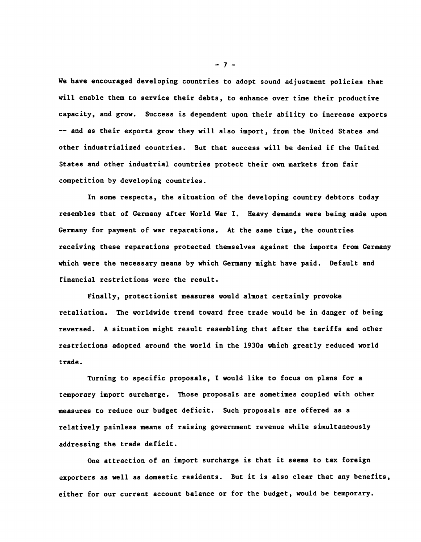**We have encouraged developing countries to adopt sound adjustment policies that will enable them to service their debts, to enhance over time their productive capacity, and grow. Success is dependent upon their ability to increase exports — and as their exports grow they will also import, from the United States and other industrialized countries. But that success will be denied if the United States and other industrial countries protect their own markets from fair competition by developing countries.**

**In some respects, the situation of the developing country debtors today resembles that of Germany after World War I. Heavy demands were being made upon Germany for payment of war reparations. At the same time, the countries receiving these reparations protected themselves against the imports from Germany which were the necessary means by which Germany might have paid. Default and financial restrictions were the result.**

**Finally, protectionist measures would almost certainly provoke retaliation. The worldwide trend toward free trade would be in danger of being reversed. A situation might result resembling that after the tariffs and other restrictions adopted around the world in the 1930s which greatly reduced world trade.**

**Turning to specific proposals, I would like to focus on plans for a temporary import surcharge. Those proposals are sometimes coupled with other measures to reduce our budget deficit. Such proposals are offered as a relatively painless means of raising government revenue while simultaneously addressing the trade deficit.**

**One attraction of an import surcharge is that it seems to tax foreign exporters as well as domestic residents. But it is also clear that any benefits, either for our current account balance or for the budget, would be temporary.**

**- 7 -**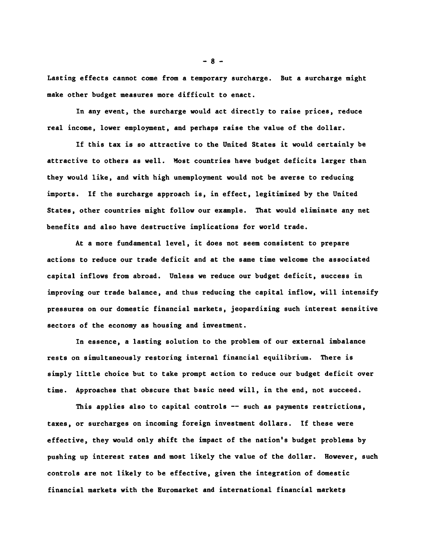Lasting effects cannot come from a temporary surcharge. But a surcharge might make other budget measures more difficult to enact.

In any event, the surcharge would act directly to raise prices, reduce real income, lower employment, and perhaps raise the value of the dollar.

If this tax is so attractive to the United States it would certainly be attractive to others as well. Most countries have budget deficits larger than they would like, and with high unemployment would not be averse to reducing imports. If the surcharge approach is, in effect, legitimized by the United States, other countries might follow our example. That would eliminate any net benefits and also have destructive implications for world trade.

At a more fundamental level, it does not seem consistent to prepare actions to reduce our trade deficit and at the same time welcome the associated capital inflows from abroad. Unless we reduce our budget deficit, success in improving our trade balance, and thus reducing the capital inflow, will intensify pressures on our domestic financial markets, jeopardizing such interest sensitive sectors of the economy as housing and investment.

In essence, a lasting solution to the problem of our external imbalance rests on simultaneously restoring internal financial equilibrium. There is simply little choice but to take prompt action to reduce our budget deficit over time. Approaches that obscure that basic need will, in the end, not succeed.

This applies also to capital controls — such as payments restrictions, taxes, or surcharges on incoming foreign investment dollars. If these were effective, they would only shift the impact of the nation's budget problems by pushing up interest rates and most likely the value of the dollar. However, such controls are not likely to be effective, given the integration of domestic financial markets with the Euromarket and international financial markets

 $- 8 -$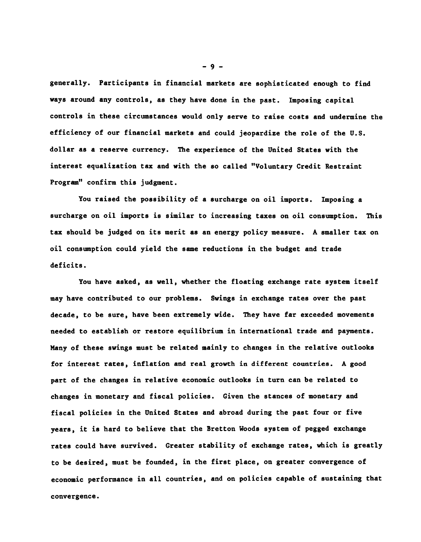**generally. Participants in financial markets are sophisticated enough to find ways around any controls, as they have done in the past. Imposing capital controls in these circumstances would only serve to raise costs and undermine the efficiency of our financial markets and could jeopardize the role of the U.S. dollar as a reserve currency. The experience of the United States with the interest equalization tax and with the so called "Voluntary Credit Restraint Program" confirm this judgment.**

**You raised the possibility of a surcharge on oil imports. Imposing a surcharge on oil imports is similar to increasing taxes on oil consumption. This tax should be judged on its merit as an energy policy measure. A smaller tax on oil consumption could yield the same reductions in the budget and trade deficits.**

**You have asked, as well, whether the floating exchange rate system itself may have contributed to our problems. Swings in exchange rates over the past decade, to be sure, have been extremely wide. They have far exceeded movements needed to establish or restore equilibrium in international trade and payments. Many of these swings must be related mainly to changes in the relative outlooks for interest rates, inflation and real growth in different countries. A good part of the changes in relative economic outlooks in turn can be related to changes in monetary and fiscal policies. Given the stances of monetary and fiscal policies in the United States and abroad during the past four or five years, it is hard to believe that the Bretton Woods system of pegged exchange rates could have survived. Greater stability of exchange rates, which is greatly to be desired, must be founded, in the first place, on greater convergence of economic performance in all countries, and on policies capable of sustaining that convergence.**

**- 9 -**